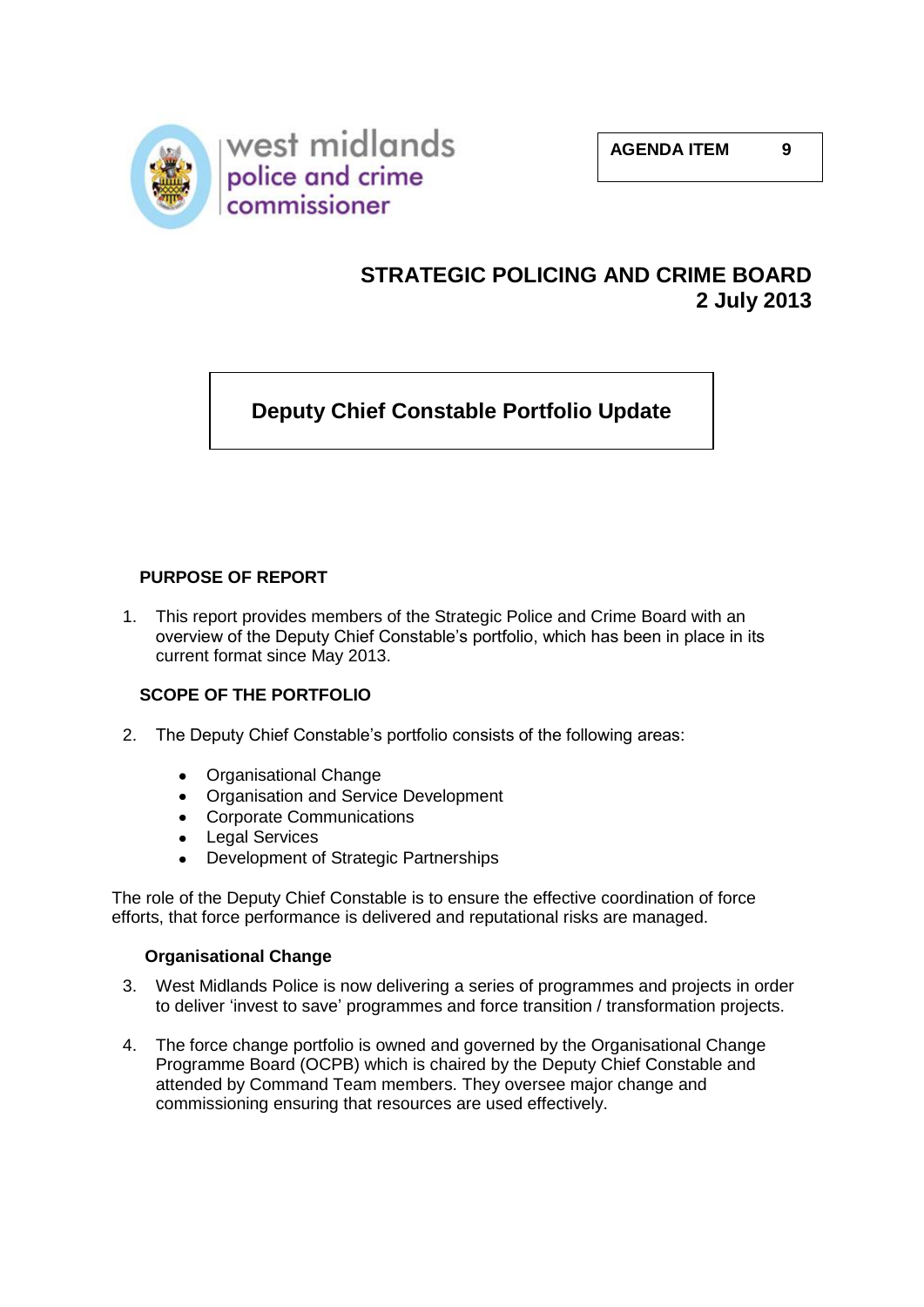

## **STRATEGIC POLICING AND CRIME BOARD 2 July 2013**

# **Deputy Chief Constable Portfolio Update**

## **PURPOSE OF REPORT**

1. This report provides members of the Strategic Police and Crime Board with an overview of the Deputy Chief Constable's portfolio, which has been in place in its current format since May 2013.

## **SCOPE OF THE PORTFOLIO**

- 2. The Deputy Chief Constable's portfolio consists of the following areas:
	- Organisational Change  $\bullet$
	- Organisation and Service Development
	- Corporate Communications
	- Legal Services
	- Development of Strategic Partnerships

The role of the Deputy Chief Constable is to ensure the effective coordination of force efforts, that force performance is delivered and reputational risks are managed.

## **Organisational Change**

- 3. West Midlands Police is now delivering a series of programmes and projects in order to deliver 'invest to save' programmes and force transition / transformation projects.
- 4. The force change portfolio is owned and governed by the Organisational Change Programme Board (OCPB) which is chaired by the Deputy Chief Constable and attended by Command Team members. They oversee major change and commissioning ensuring that resources are used effectively.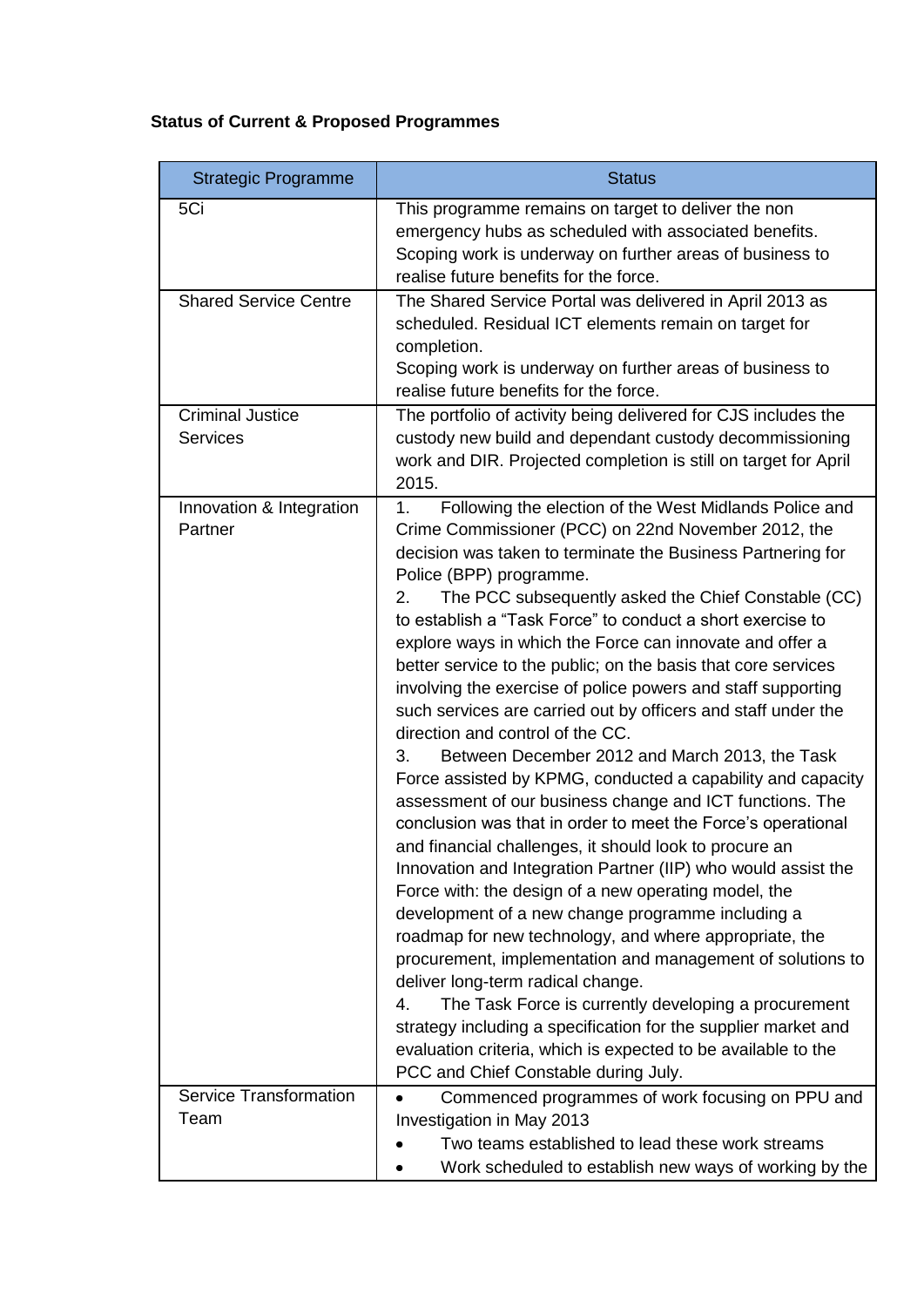# **Status of Current & Proposed Programmes**

| <b>Strategic Programme</b>                 | <b>Status</b>                                                                                                                                                                                                                                                                                                                                                                                                                                                                                                                                                                                                                                                                                                                                                                                                                                                                                                                                                                                                                                                                                                                                                                                                                                                                                                                                                                                                                                                                                                                                           |
|--------------------------------------------|---------------------------------------------------------------------------------------------------------------------------------------------------------------------------------------------------------------------------------------------------------------------------------------------------------------------------------------------------------------------------------------------------------------------------------------------------------------------------------------------------------------------------------------------------------------------------------------------------------------------------------------------------------------------------------------------------------------------------------------------------------------------------------------------------------------------------------------------------------------------------------------------------------------------------------------------------------------------------------------------------------------------------------------------------------------------------------------------------------------------------------------------------------------------------------------------------------------------------------------------------------------------------------------------------------------------------------------------------------------------------------------------------------------------------------------------------------------------------------------------------------------------------------------------------------|
| 5Ci                                        | This programme remains on target to deliver the non<br>emergency hubs as scheduled with associated benefits.<br>Scoping work is underway on further areas of business to<br>realise future benefits for the force.                                                                                                                                                                                                                                                                                                                                                                                                                                                                                                                                                                                                                                                                                                                                                                                                                                                                                                                                                                                                                                                                                                                                                                                                                                                                                                                                      |
| <b>Shared Service Centre</b>               | The Shared Service Portal was delivered in April 2013 as<br>scheduled. Residual ICT elements remain on target for<br>completion.<br>Scoping work is underway on further areas of business to<br>realise future benefits for the force.                                                                                                                                                                                                                                                                                                                                                                                                                                                                                                                                                                                                                                                                                                                                                                                                                                                                                                                                                                                                                                                                                                                                                                                                                                                                                                                  |
| <b>Criminal Justice</b><br><b>Services</b> | The portfolio of activity being delivered for CJS includes the<br>custody new build and dependant custody decommissioning<br>work and DIR. Projected completion is still on target for April<br>2015.                                                                                                                                                                                                                                                                                                                                                                                                                                                                                                                                                                                                                                                                                                                                                                                                                                                                                                                                                                                                                                                                                                                                                                                                                                                                                                                                                   |
| Innovation & Integration<br>Partner        | Following the election of the West Midlands Police and<br>1 <sub>1</sub><br>Crime Commissioner (PCC) on 22nd November 2012, the<br>decision was taken to terminate the Business Partnering for<br>Police (BPP) programme.<br>2.<br>The PCC subsequently asked the Chief Constable (CC)<br>to establish a "Task Force" to conduct a short exercise to<br>explore ways in which the Force can innovate and offer a<br>better service to the public; on the basis that core services<br>involving the exercise of police powers and staff supporting<br>such services are carried out by officers and staff under the<br>direction and control of the CC.<br>Between December 2012 and March 2013, the Task<br>3.<br>Force assisted by KPMG, conducted a capability and capacity<br>assessment of our business change and ICT functions. The<br>conclusion was that in order to meet the Force's operational<br>and financial challenges, it should look to procure an<br>Innovation and Integration Partner (IIP) who would assist the<br>Force with: the design of a new operating model, the<br>development of a new change programme including a<br>roadmap for new technology, and where appropriate, the<br>procurement, implementation and management of solutions to<br>deliver long-term radical change.<br>The Task Force is currently developing a procurement<br>4.<br>strategy including a specification for the supplier market and<br>evaluation criteria, which is expected to be available to the<br>PCC and Chief Constable during July. |
| <b>Service Transformation</b><br>Team      | Commenced programmes of work focusing on PPU and<br>Investigation in May 2013<br>Two teams established to lead these work streams<br>Work scheduled to establish new ways of working by the                                                                                                                                                                                                                                                                                                                                                                                                                                                                                                                                                                                                                                                                                                                                                                                                                                                                                                                                                                                                                                                                                                                                                                                                                                                                                                                                                             |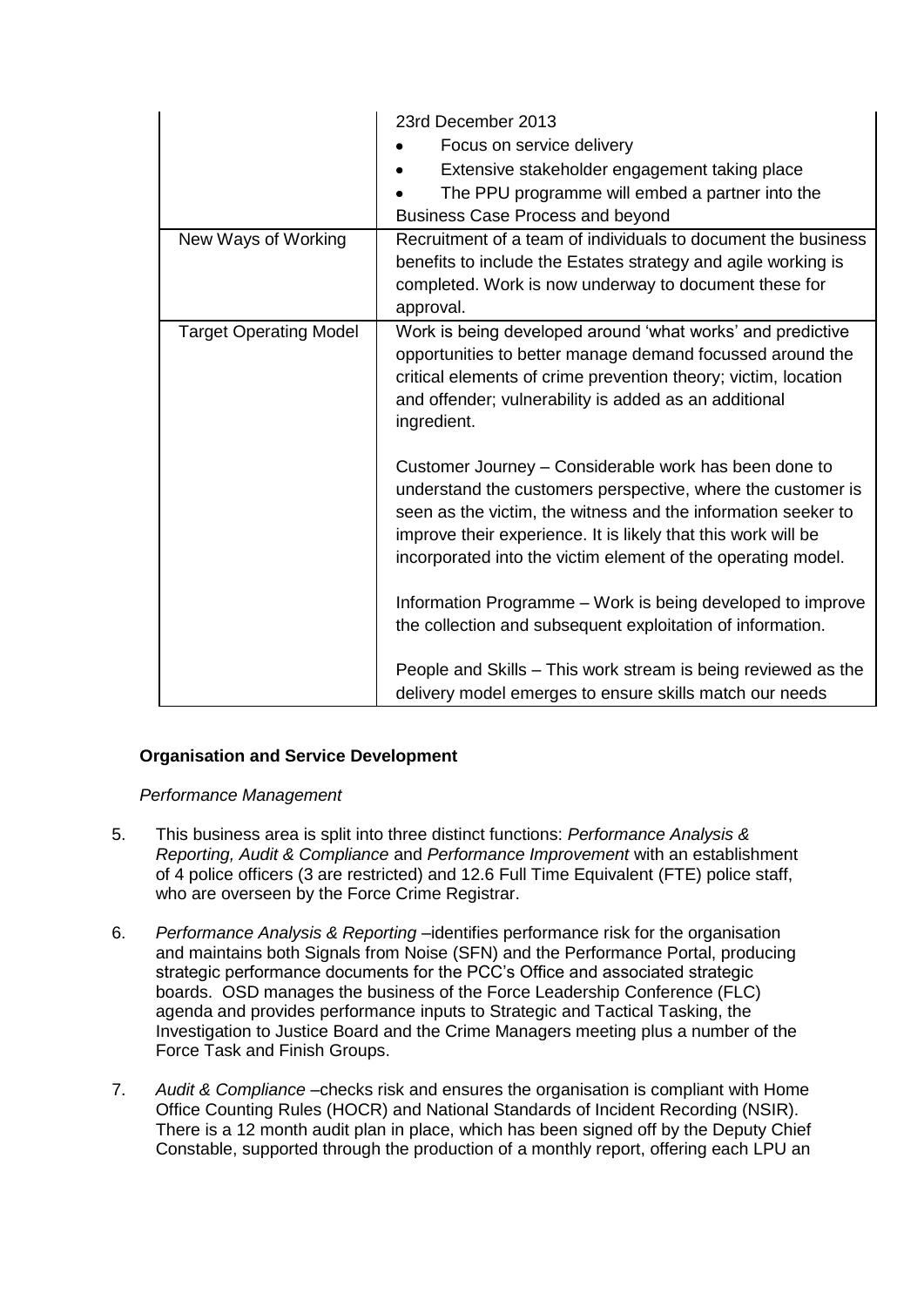| New Ways of Working           | 23rd December 2013<br>Focus on service delivery<br>Extensive stakeholder engagement taking place<br>The PPU programme will embed a partner into the<br><b>Business Case Process and beyond</b><br>Recruitment of a team of individuals to document the business<br>benefits to include the Estates strategy and agile working is |
|-------------------------------|----------------------------------------------------------------------------------------------------------------------------------------------------------------------------------------------------------------------------------------------------------------------------------------------------------------------------------|
|                               | completed. Work is now underway to document these for<br>approval.                                                                                                                                                                                                                                                               |
| <b>Target Operating Model</b> | Work is being developed around 'what works' and predictive<br>opportunities to better manage demand focussed around the<br>critical elements of crime prevention theory; victim, location<br>and offender; vulnerability is added as an additional<br>ingredient.                                                                |
|                               | Customer Journey - Considerable work has been done to<br>understand the customers perspective, where the customer is<br>seen as the victim, the witness and the information seeker to<br>improve their experience. It is likely that this work will be<br>incorporated into the victim element of the operating model.           |
|                               | Information Programme – Work is being developed to improve<br>the collection and subsequent exploitation of information.                                                                                                                                                                                                         |
|                               | People and Skills - This work stream is being reviewed as the<br>delivery model emerges to ensure skills match our needs                                                                                                                                                                                                         |

## **Organisation and Service Development**

#### *Performance Management*

- 5. This business area is split into three distinct functions: *Performance Analysis & Reporting, Audit & Compliance* and *Performance Improvement* with an establishment of 4 police officers (3 are restricted) and 12.6 Full Time Equivalent (FTE) police staff, who are overseen by the Force Crime Registrar.
- 6. *Performance Analysis & Reporting* –identifies performance risk for the organisation and maintains both Signals from Noise (SFN) and the Performance Portal, producing strategic performance documents for the PCC's Office and associated strategic boards. OSD manages the business of the Force Leadership Conference (FLC) agenda and provides performance inputs to Strategic and Tactical Tasking, the Investigation to Justice Board and the Crime Managers meeting plus a number of the Force Task and Finish Groups.
- 7. *Audit & Compliance* –checks risk and ensures the organisation is compliant with Home Office Counting Rules (HOCR) and National Standards of Incident Recording (NSIR). There is a 12 month audit plan in place, which has been signed off by the Deputy Chief Constable, supported through the production of a monthly report, offering each LPU an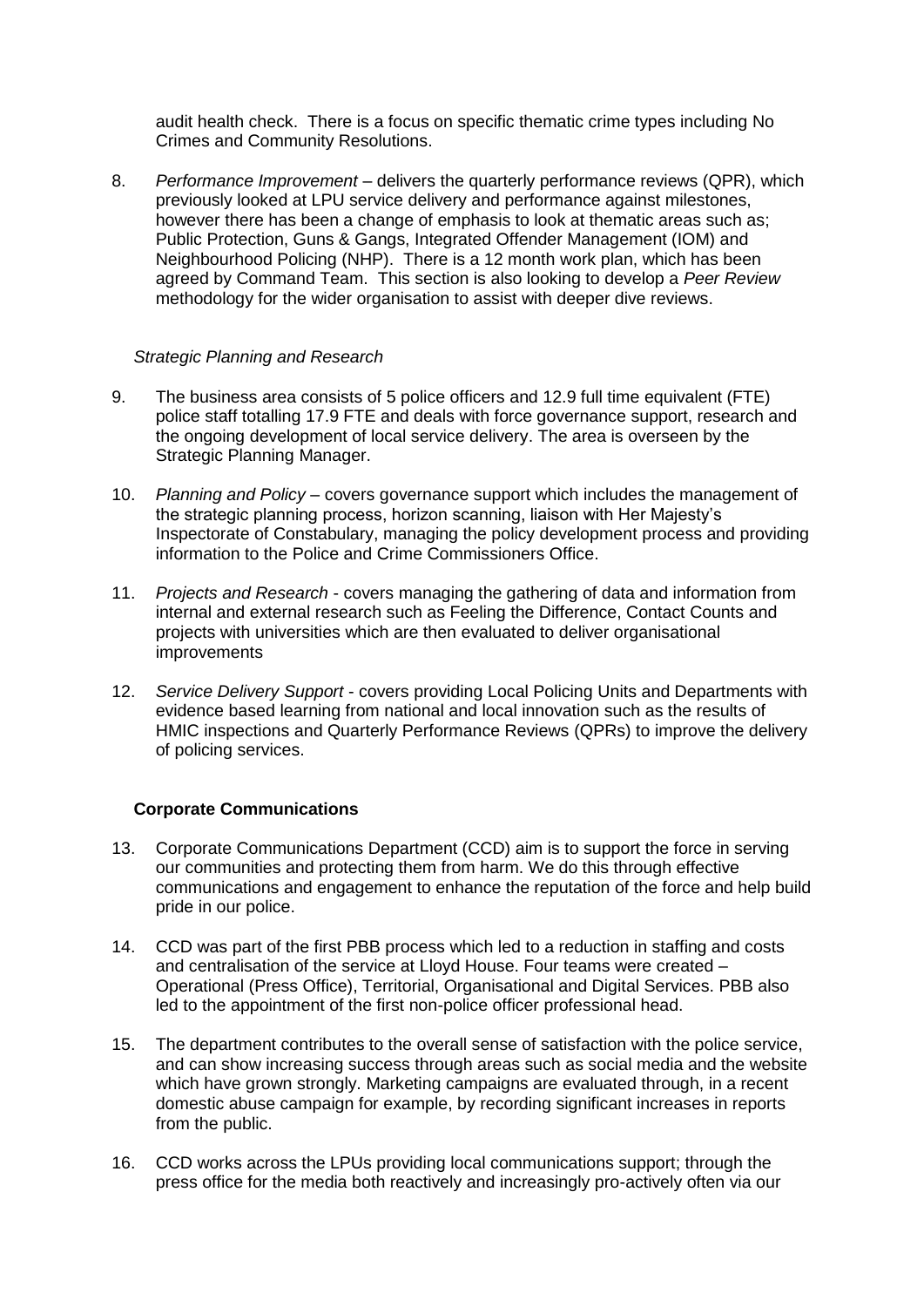audit health check. There is a focus on specific thematic crime types including No Crimes and Community Resolutions.

8. *Performance Improvement* – delivers the quarterly performance reviews (QPR), which previously looked at LPU service delivery and performance against milestones, however there has been a change of emphasis to look at thematic areas such as; Public Protection, Guns & Gangs, Integrated Offender Management (IOM) and Neighbourhood Policing (NHP). There is a 12 month work plan, which has been agreed by Command Team. This section is also looking to develop a *Peer Review* methodology for the wider organisation to assist with deeper dive reviews.

#### *Strategic Planning and Research*

- 9. The business area consists of 5 police officers and 12.9 full time equivalent (FTE) police staff totalling 17.9 FTE and deals with force governance support, research and the ongoing development of local service delivery. The area is overseen by the Strategic Planning Manager.
- 10. *Planning and Policy* covers governance support which includes the management of the strategic planning process, horizon scanning, liaison with Her Majesty's Inspectorate of Constabulary, managing the policy development process and providing information to the Police and Crime Commissioners Office.
- 11. *Projects and Research* covers managing the gathering of data and information from internal and external research such as Feeling the Difference, Contact Counts and projects with universities which are then evaluated to deliver organisational improvements
- 12. *Service Delivery Support* covers providing Local Policing Units and Departments with evidence based learning from national and local innovation such as the results of HMIC inspections and Quarterly Performance Reviews (QPRs) to improve the delivery of policing services.

#### **Corporate Communications**

- 13. Corporate Communications Department (CCD) aim is to support the force in serving our communities and protecting them from harm. We do this through effective communications and engagement to enhance the reputation of the force and help build pride in our police.
- 14. CCD was part of the first PBB process which led to a reduction in staffing and costs and centralisation of the service at Lloyd House. Four teams were created – Operational (Press Office), Territorial, Organisational and Digital Services. PBB also led to the appointment of the first non-police officer professional head.
- 15. The department contributes to the overall sense of satisfaction with the police service, and can show increasing success through areas such as social media and the website which have grown strongly. Marketing campaigns are evaluated through, in a recent domestic abuse campaign for example, by recording significant increases in reports from the public.
- 16. CCD works across the LPUs providing local communications support; through the press office for the media both reactively and increasingly pro-actively often via our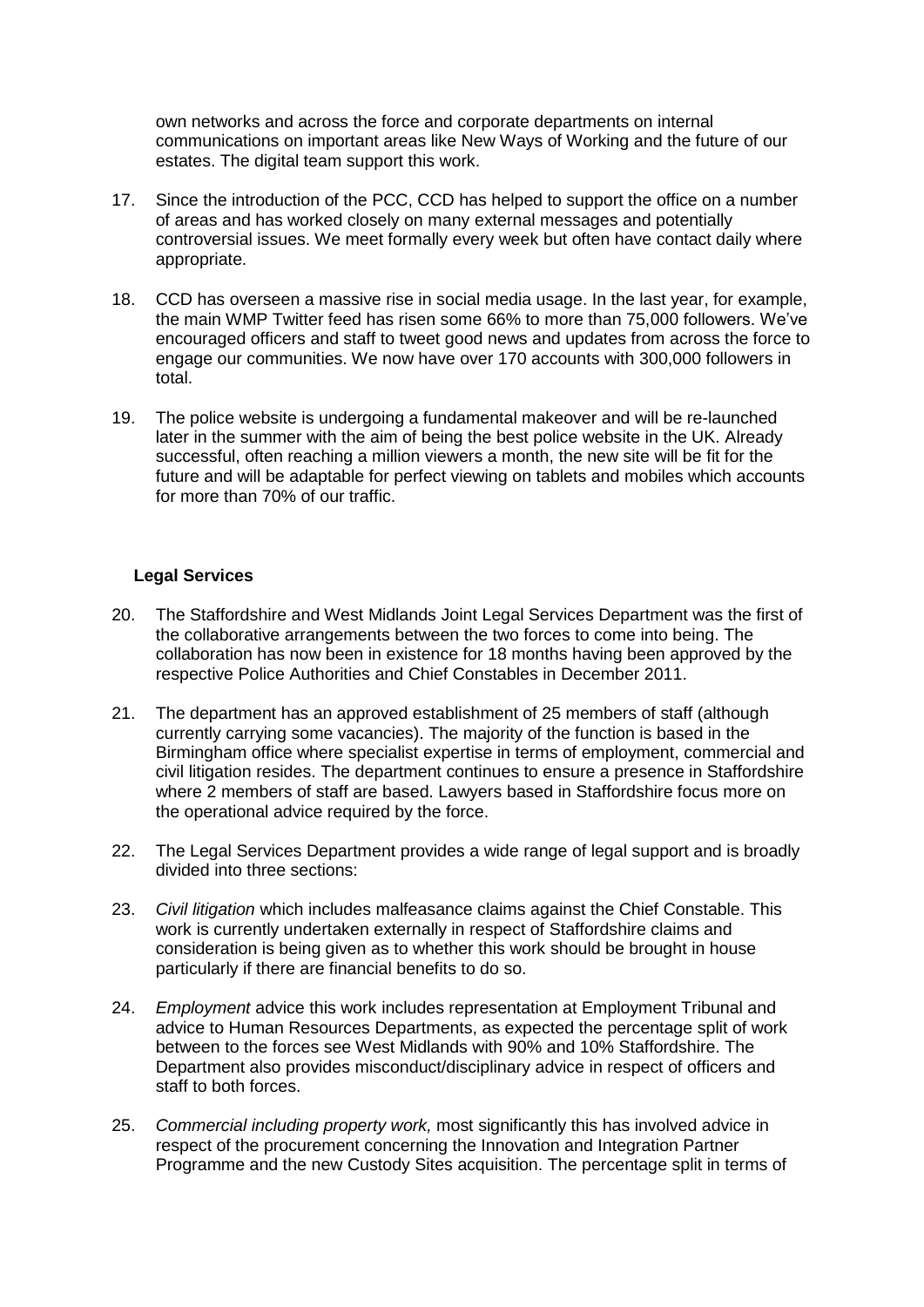own networks and across the force and corporate departments on internal communications on important areas like New Ways of Working and the future of our estates. The digital team support this work.

- 17. Since the introduction of the PCC, CCD has helped to support the office on a number of areas and has worked closely on many external messages and potentially controversial issues. We meet formally every week but often have contact daily where appropriate.
- 18. CCD has overseen a massive rise in social media usage. In the last year, for example, the main WMP Twitter feed has risen some 66% to more than 75,000 followers. We've encouraged officers and staff to tweet good news and updates from across the force to engage our communities. We now have over 170 accounts with 300,000 followers in total.
- 19. The police website is undergoing a fundamental makeover and will be re-launched later in the summer with the aim of being the best police website in the UK. Already successful, often reaching a million viewers a month, the new site will be fit for the future and will be adaptable for perfect viewing on tablets and mobiles which accounts for more than 70% of our traffic.

#### **Legal Services**

- 20. The Staffordshire and West Midlands Joint Legal Services Department was the first of the collaborative arrangements between the two forces to come into being. The collaboration has now been in existence for 18 months having been approved by the respective Police Authorities and Chief Constables in December 2011.
- 21. The department has an approved establishment of 25 members of staff (although currently carrying some vacancies). The majority of the function is based in the Birmingham office where specialist expertise in terms of employment, commercial and civil litigation resides. The department continues to ensure a presence in Staffordshire where 2 members of staff are based. Lawyers based in Staffordshire focus more on the operational advice required by the force.
- 22. The Legal Services Department provides a wide range of legal support and is broadly divided into three sections:
- 23. *Civil litigation* which includes malfeasance claims against the Chief Constable. This work is currently undertaken externally in respect of Staffordshire claims and consideration is being given as to whether this work should be brought in house particularly if there are financial benefits to do so.
- 24. *Employment* advice this work includes representation at Employment Tribunal and advice to Human Resources Departments, as expected the percentage split of work between to the forces see West Midlands with 90% and 10% Staffordshire. The Department also provides misconduct/disciplinary advice in respect of officers and staff to both forces.
- 25. *Commercial including property work,* most significantly this has involved advice in respect of the procurement concerning the Innovation and Integration Partner Programme and the new Custody Sites acquisition. The percentage split in terms of